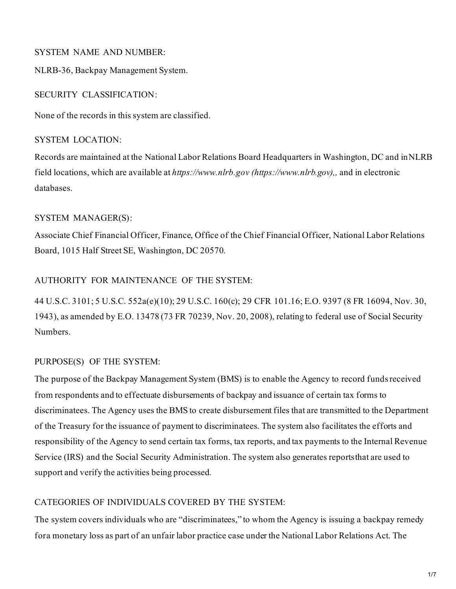#### SYSTEM NAME AND NUMBER:

NLRB-36, Backpay Management System.

### SECURITY CLASSIFICATION:

None of the records in this system are classified.

## SYSTEM LOCATION:

Records are maintained at the National Labor Relations Board Headquarters in Washington, DC and inNLRB field locations, which are available at *https://www.nlrb.gov [\(https://www.nlrb.gov\)](https://www.nlrb.gov/),,* and in electronic databases.

## SYSTEM MANAGER(S):

Associate Chief Financial Officer, Finance, Office of the Chief Financial Officer, National Labor Relations Board, 1015 Half Street SE, Washington, DC 20570.

## AUTHORITY FOR MAINTENANCE OF THE SYSTEM:

44 U.S.C. 3101; 5 U.S.C. [552a\(e\)\(10\)](https://www.govinfo.gov/link/uscode/5/552a); 29 [U.S.C.](https://www.govinfo.gov/link/uscode/29/160) 160(c); 29 CFR [101.16](https://www.ecfr.gov/current/title-29/section-101.16); E.O. 9397 (8 FR [16094,](https://www.federalregister.gov/executive-order/13478) Nov. 30, 1943), as [amended](https://www.federalregister.gov/executive-order/13478) by E.O. [13478](https://www.federalregister.gov/executive-order/13478) (73 FR [70239,](https://www.federalregister.gov/citation/73-FR-70239) Nov. 20, 2008), [relating](https://www.federalregister.gov/executive-order/13478) to federal use of Social Security Numbers.

# PURPOSE(S) OF THE SYSTEM:

The purpose of the Backpay Management System (BMS) is to enable the Agency to record fundsreceived from respondents and to effectuate disbursements of backpay and issuance of certain tax forms to discriminatees. The Agency uses the BMS to create disbursement files that are transmitted to the Department of the Treasury for the issuance of payment to discriminatees. The system also facilitates the efforts and responsibility of the Agency to send certain tax forms, tax reports, and tax payments to the Internal Revenue Service (IRS) and the Social Security Administration. The system also generates reportsthat are used to support and verify the activities being processed.

## CATEGORIES OF INDIVIDUALS COVERED BY THE SYSTEM:

The system covers individuals who are "discriminatees," to whom the Agency is issuing a backpay remedy fora monetary loss as part of an unfair labor practice case under the National Labor Relations Act. The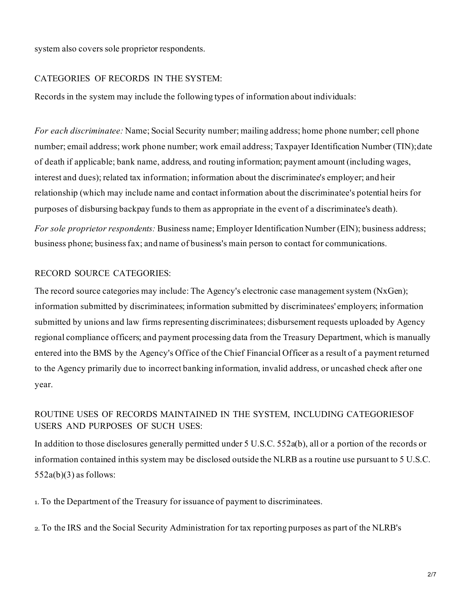system also covers sole proprietor respondents.

#### CATEGORIES OF RECORDS IN THE SYSTEM:

Records in the system may include the following types of information about individuals:

*For each discriminatee:* Name; Social Security number; mailing address; home phone number; cell phone number; email address; work phone number; work email address; Taxpayer Identification Number (TIN);date of death if applicable; bank name, address, and routing information; payment amount (including wages, interest and dues); related tax information; information about the discriminatee's employer; and heir relationship (which may include name and contact information about the discriminatee's potential heirs for purposes of disbursing backpay funds to them as appropriate in the event of a discriminatee's death).

*For sole proprietor respondents:* Business name; Employer Identification Number (EIN); business address; business phone; businessfax; and name of business's main person to contact for communications.

#### RECORD SOURCE CATEGORIES:

The record source categories may include: The Agency's electronic case management system (NxGen); information submitted by discriminatees; information submitted by discriminatees' employers; information submitted by unions and law firms representing discriminatees; disbursement requests uploaded by Agency regional compliance officers; and payment processing data from the Treasury Department, which is manually entered into the BMS by the Agency's Office of the Chief Financial Officer as a result of a payment returned to the Agency primarily due to incorrect banking information, invalid address, or uncashed check after one year.

## ROUTINE USES OF RECORDS MAINTAINED IN THE SYSTEM, INCLUDING CATEGORIESOF USERS AND PURPOSES OF SUCH USES:

In addition to those [disclosures](https://www.govinfo.gov/link/uscode/5/552a) generally permitted under 5 U.S.C. 552a(b), all or a portion of the records or information contained inthis system may be [disclosed](https://www.govinfo.gov/link/uscode/5/552a) outside the NLRB as a routine use pursuant to 5 U.S.C.  $552a(b)(3)$  as follows:

1. To the Department of the Treasury for issuance of payment to discriminatees.

2. To the IRS and the Social Security Administration for tax reporting purposes as part of the NLRB's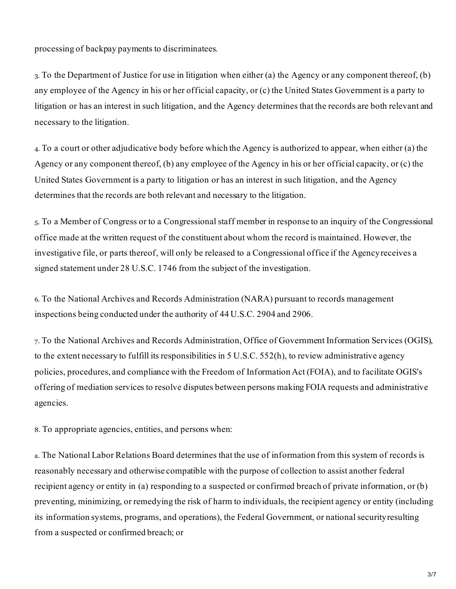processing of backpay payments to discriminatees.

3. To the Department of Justice for use in litigation when either (a) the Agency or any component thereof, (b) any employee of the Agency in his or her official capacity, or (c) the United States Government is a party to litigation or has an interest in such litigation, and the Agency determines that the records are both relevant and necessary to the litigation.

4. To a court or other adjudicative body before which the Agency is authorized to appear, when either (a) the Agency or any component thereof, (b) any employee of the Agency in his or her official capacity, or (c) the United States Government is a party to litigation or has an interest in such litigation, and the Agency determines that the records are both relevant and necessary to the litigation.

5. To a Member of Congress or to a Congressionalstaff member in response to an inquiry of the Congressional office made at the written request of the constituent about whom the record is maintained. However, the investigative file, or parts thereof, will only be released to a Congressional office if the Agencyreceives a signed statement under 28 U.S.C. 1746 from the subject of the investigation.

6. To the National Archives and Records Administration (NARA) pursuant to records management [inspections](https://www.govinfo.gov/link/uscode/44/2904) being conducted under the authority of 44 U.S.C. 2904 and [2906.](https://www.govinfo.gov/link/uscode/44/2906)

7. To the National Archives and Records Administration, Office of Government Information Services (OGIS), to the extent necessary to fulfill its [responsibilities](https://www.govinfo.gov/link/uscode/5/552) in 5 U.S.C. 552(h), to review administrative agency policies, procedures, and compliance with the Freedom of Information Act (FOIA), and to facilitate OGIS's offering of mediation services to resolve disputes between persons making FOIA requests and administrative agencies.

8. To appropriate agencies, entities, and persons when:

a. The National Labor Relations Board determines that the use of information from this system of records is reasonably necessary and otherwise compatible with the purpose of collection to assist another federal recipient agency or entity in (a) responding to a suspected or confirmed breach of private information, or (b) preventing, minimizing, or remedying the risk of harm to individuals, the recipient agency or entity (including its information systems, programs, and operations), the Federal Government, or national security resulting from a suspected or confirmed breach; or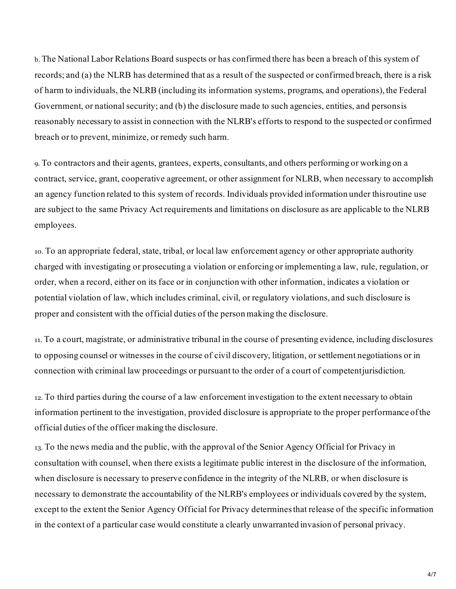b.The National Labor Relations Board suspects or has confirmed there has been a breach of this system of records; and (a) the NLRB has determined that as a result of the suspected or confirmed breach, there is a risk of harm to individuals, the NLRB (including its information systems, programs, and operations), the Federal Government, or national security; and (b) the disclosure made to such agencies, entities, and personsis reasonably necessary to assist in connection with the NLRB's efforts to respond to the suspected or confirmed breach or to prevent, minimize, or remedy such harm.

9. To contractors and their agents, grantees, experts, consultants, and others performing or working on a contract, service, grant, cooperative agreement, or other assignment for NLRB, when necessary to accomplish an agency function related to this system of records. Individuals provided information under thisroutine use are subject to the same Privacy Act requirements and limitations on disclosure as are applicable to the NLRB employees.

10. To an appropriate federal, state, tribal, or local law enforcement agency or other appropriate authority charged with investigating or prosecuting a violation or enforcing or implementing a law, rule, regulation, or order, when a record, either on its face or in conjunction with other information, indicates a violation or potential violation of law, which includes criminal, civil, or regulatory violations, and such disclosure is proper and consistent with the official duties of the person making the disclosure.

11. To a court, magistrate, or administrative tribunal in the course of presenting evidence, including disclosures to opposing counsel or witnesses in the course of civil discovery, litigation, or settlement negotiations or in connection with criminal law proceedings or pursuant to the order of a court of competentjurisdiction.

12. To third parties during the course of a law enforcement investigation to the extent necessary to obtain information pertinent to the investigation, provided disclosure is appropriate to the proper performance ofthe official duties of the officer making the disclosure.

13. To the news media and the public, with the approval of the Senior Agency Official for Privacy in consultation with counsel, when there exists a legitimate public interest in the disclosure of the information, when disclosure is necessary to preserve confidence in the integrity of the NLRB, or when disclosure is necessary to demonstrate the accountability of the NLRB's employees or individuals covered by the system, except to the extent the Senior Agency Official for Privacy determinesthat release of the specific information in the context of a particular case would constitute a clearly unwarranted invasion of personal privacy.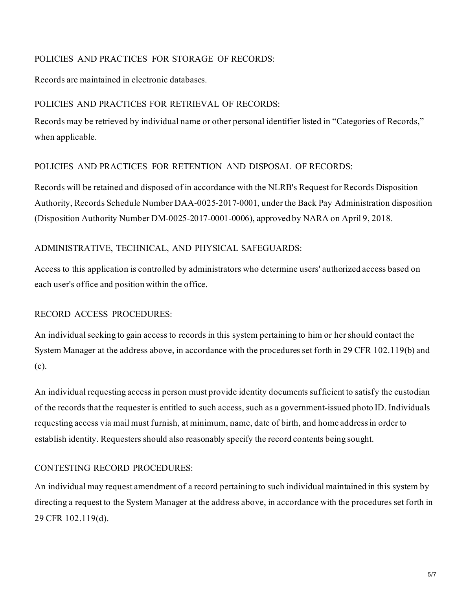## POLICIES AND PRACTICES FOR STORAGE OF RECORDS:

Records are maintained in electronic databases.

## POLICIES AND PRACTICES FOR RETRIEVAL OF RECORDS:

Records may be retrieved by individual name or other personal identifier listed in "Categories of Records," when applicable.

## POLICIES AND PRACTICES FOR RETENTION AND DISPOSAL OF RECORDS:

Records will be retained and disposed of in accordance with the NLRB's Request for Records Disposition Authority, Records Schedule Number DAA-0025-2017-0001, under the Back Pay Administration disposition (Disposition Authority Number DM-0025-2017-0001-0006), approved by NARA on April 9, 2018.

## ADMINISTRATIVE, TECHNICAL, AND PHYSICAL SAFEGUARDS:

Access to this application is controlled by administrators who determine users' authorized access based on each user's office and position within the office.

#### RECORD ACCESS PROCEDURES:

An individual seeking to gain access to records in this system pertaining to him or her should contact the System Manager at the address above, in [accordance](https://www.ecfr.gov/current/title-29/section-102.119#p-102.119(b)) with the procedures set forth in 29 CFR 102.119(b) [and](https://www.ecfr.gov/current/title-29/section-102.119#p-102.119(c)) [\(c\).](https://www.ecfr.gov/current/title-29/section-102.119#p-102.119(c))

An individual requesting access in person must provide identity documents sufficient to satisfy the custodian of the records that the requester is entitled to such access, such as a government-issued photo ID. Individuals requesting access via mail must furnish, at minimum, name, date of birth, and home addressin order to establish identity. Requesters should also reasonably specify the record contents being sought.

#### CONTESTING RECORD PROCEDURES:

An individual may request amendment of a record pertaining to such individual maintained in this system by directing a request to the System Manager at the address above, in accordance with the procedures set forth in 29 CFR [102.119\(d\)](https://www.ecfr.gov/current/title-29/section-102.119#p-102.119(d)).